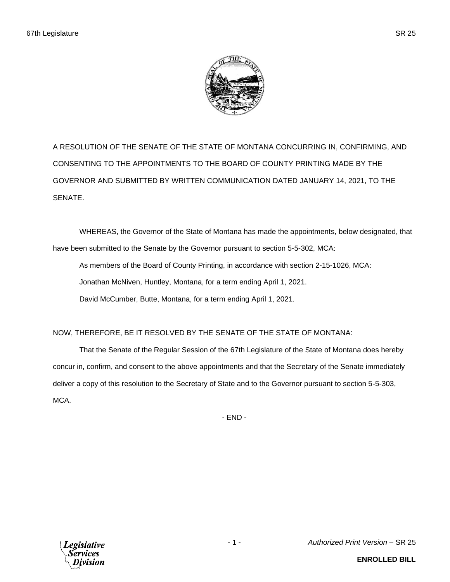

A RESOLUTION OF THE SENATE OF THE STATE OF MONTANA CONCURRING IN, CONFIRMING, AND CONSENTING TO THE APPOINTMENTS TO THE BOARD OF COUNTY PRINTING MADE BY THE GOVERNOR AND SUBMITTED BY WRITTEN COMMUNICATION DATED JANUARY 14, 2021, TO THE SENATE.

WHEREAS, the Governor of the State of Montana has made the appointments, below designated, that have been submitted to the Senate by the Governor pursuant to section 5-5-302, MCA:

As members of the Board of County Printing, in accordance with section 2-15-1026, MCA: Jonathan McNiven, Huntley, Montana, for a term ending April 1, 2021. David McCumber, Butte, Montana, for a term ending April 1, 2021.

## NOW, THEREFORE, BE IT RESOLVED BY THE SENATE OF THE STATE OF MONTANA:

That the Senate of the Regular Session of the 67th Legislature of the State of Montana does hereby concur in, confirm, and consent to the above appointments and that the Secretary of the Senate immediately deliver a copy of this resolution to the Secretary of State and to the Governor pursuant to section 5-5-303, MCA.

- END -



- 1 - *Authorized Print Version* – SR 25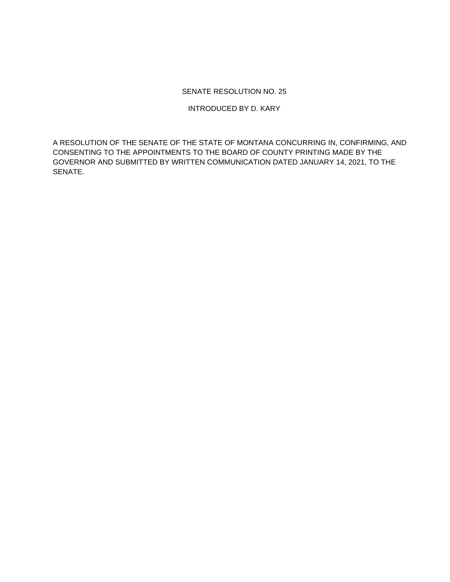## SENATE RESOLUTION NO. 25

INTRODUCED BY D. KARY

A RESOLUTION OF THE SENATE OF THE STATE OF MONTANA CONCURRING IN, CONFIRMING, AND CONSENTING TO THE APPOINTMENTS TO THE BOARD OF COUNTY PRINTING MADE BY THE GOVERNOR AND SUBMITTED BY WRITTEN COMMUNICATION DATED JANUARY 14, 2021, TO THE SENATE.